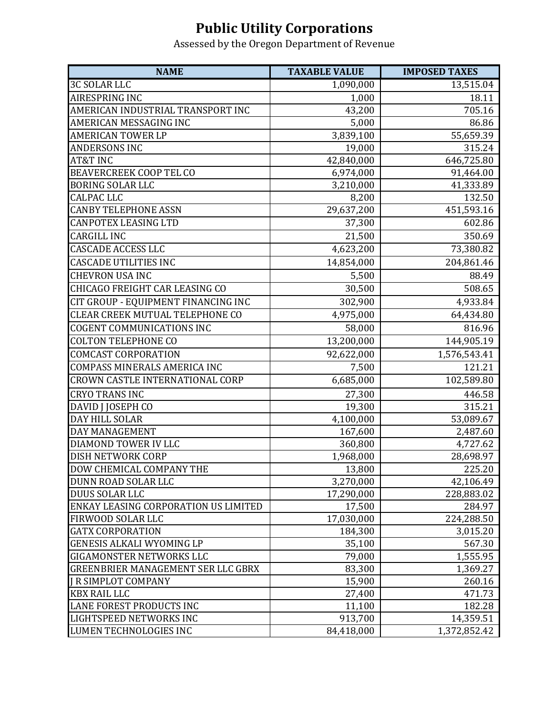## **Public Utility Corporations**

Assessed by the Oregon Department of Revenue

| <b>NAME</b>                               | <b>TAXABLE VALUE</b> | <b>IMPOSED TAXES</b> |
|-------------------------------------------|----------------------|----------------------|
| <b>3C SOLAR LLC</b>                       | 1,090,000            | 13,515.04            |
| AIRESPRING INC                            | 1,000                | 18.11                |
| AMERICAN INDUSTRIAL TRANSPORT INC         | 43,200               | 705.16               |
| AMERICAN MESSAGING INC                    | 5,000                | 86.86                |
| <b>AMERICAN TOWER LP</b>                  | 3,839,100            | 55,659.39            |
| <b>ANDERSONS INC</b>                      | 19,000               | 315.24               |
| AT&T INC                                  | 42,840,000           | 646,725.80           |
| <b>BEAVERCREEK COOP TEL CO</b>            | 6,974,000            | 91,464.00            |
| <b>BORING SOLAR LLC</b>                   | 3,210,000            | 41,333.89            |
| <b>CALPAC LLC</b>                         | 8,200                | 132.50               |
| <b>CANBY TELEPHONE ASSN</b>               | 29,637,200           | 451,593.16           |
| <b>CANPOTEX LEASING LTD</b>               | 37,300               | 602.86               |
| <b>CARGILL INC</b>                        | 21,500               | 350.69               |
| <b>CASCADE ACCESS LLC</b>                 | 4,623,200            | 73,380.82            |
| <b>CASCADE UTILITIES INC</b>              | 14,854,000           | 204,861.46           |
| <b>CHEVRON USA INC</b>                    | 5,500                | 88.49                |
| CHICAGO FREIGHT CAR LEASING CO            | 30,500               | 508.65               |
| CIT GROUP - EQUIPMENT FINANCING INC       | 302,900              | 4,933.84             |
| CLEAR CREEK MUTUAL TELEPHONE CO           | 4,975,000            | 64,434.80            |
| <b>COGENT COMMUNICATIONS INC</b>          | 58,000               | 816.96               |
| <b>COLTON TELEPHONE CO</b>                | 13,200,000           | 144,905.19           |
| <b>COMCAST CORPORATION</b>                | 92,622,000           | 1,576,543.41         |
| COMPASS MINERALS AMERICA INC              | 7,500                | 121.21               |
| CROWN CASTLE INTERNATIONAL CORP           | 6,685,000            | 102,589.80           |
| <b>CRYO TRANS INC</b>                     | 27,300               | 446.58               |
| DAVID J JOSEPH CO                         | 19,300               | 315.21               |
| DAY HILL SOLAR                            | 4,100,000            | 53,089.67            |
| DAY MANAGEMENT                            | 167,600              | 2,487.60             |
| DIAMOND TOWER IV LLC                      | 360,800              | 4,727.62             |
| DISH NETWORK CORP                         | 1,968,000            | 28,698.97            |
| DOW CHEMICAL COMPANY THE                  | 13,800               | 225.20               |
| DUNN ROAD SOLAR LLC                       | 3,270,000            | 42,106.49            |
| DUUS SOLAR LLC                            | 17,290,000           | 228,883.02           |
| ENKAY LEASING CORPORATION US LIMITED      | 17,500               | 284.97               |
| FIRWOOD SOLAR LLC                         | 17,030,000           | 224,288.50           |
| <b>GATX CORPORATION</b>                   | 184,300              | 3,015.20             |
| <b>GENESIS ALKALI WYOMING LP</b>          | 35,100               | 567.30               |
| GIGAMONSTER NETWORKS LLC                  | 79,000               | 1,555.95             |
| <b>GREENBRIER MANAGEMENT SER LLC GBRX</b> | 83,300               | 1,369.27             |
| <b>J R SIMPLOT COMPANY</b>                | 15,900               | 260.16               |
| <b>KBX RAIL LLC</b>                       | 27,400               | 471.73               |
| LANE FOREST PRODUCTS INC                  | 11,100               | 182.28               |
| LIGHTSPEED NETWORKS INC                   | 913,700              | 14,359.51            |
| LUMEN TECHNOLOGIES INC                    | 84,418,000           | 1,372,852.42         |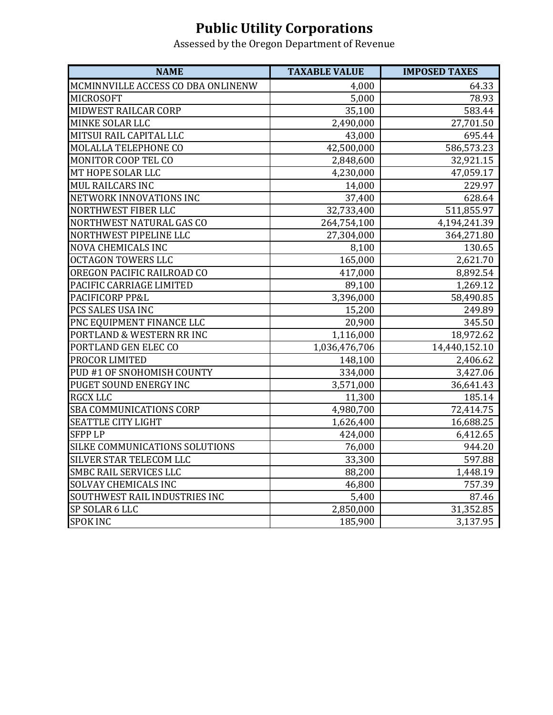## **Public Utility Corporations**

Assessed by the Oregon Department of Revenue

| <b>NAME</b>                        | <b>TAXABLE VALUE</b> | <b>IMPOSED TAXES</b> |
|------------------------------------|----------------------|----------------------|
| MCMINNVILLE ACCESS CO DBA ONLINENW | 4,000                | 64.33                |
| <b>MICROSOFT</b>                   | 5,000                | 78.93                |
| <b>MIDWEST RAILCAR CORP</b>        | 35,100               | 583.44               |
| <b>MINKE SOLAR LLC</b>             | 2,490,000            | 27,701.50            |
| <b>MITSUI RAIL CAPITAL LLC</b>     | 43,000               | 695.44               |
| <b>MOLALLA TELEPHONE CO</b>        | 42,500,000           | 586,573.23           |
| <b>MONITOR COOP TEL CO</b>         | 2,848,600            | 32,921.15            |
| MT HOPE SOLAR LLC                  | 4,230,000            | 47,059.17            |
| <b>MUL RAILCARS INC</b>            | 14,000               | 229.97               |
| <b>NETWORK INNOVATIONS INC</b>     | 37,400               | 628.64               |
| NORTHWEST FIBER LLC                | 32,733,400           | 511,855.97           |
| NORTHWEST NATURAL GAS CO           | 264,754,100          | 4,194,241.39         |
| NORTHWEST PIPELINE LLC             | 27,304,000           | 364,271.80           |
| <b>NOVA CHEMICALS INC</b>          | 8,100                | 130.65               |
| <b>OCTAGON TOWERS LLC</b>          | 165,000              | 2,621.70             |
| OREGON PACIFIC RAILROAD CO         | 417,000              | 8,892.54             |
| PACIFIC CARRIAGE LIMITED           | 89,100               | 1,269.12             |
| PACIFICORP PP&L                    | 3,396,000            | 58,490.85            |
| PCS SALES USA INC                  | 15,200               | 249.89               |
| PNC EQUIPMENT FINANCE LLC          | 20,900               | 345.50               |
| PORTLAND & WESTERN RR INC          | 1,116,000            | 18,972.62            |
| PORTLAND GEN ELEC CO               | 1,036,476,706        | 14,440,152.10        |
| PROCOR LIMITED                     | 148,100              | 2,406.62             |
| PUD #1 OF SNOHOMISH COUNTY         | 334,000              | 3,427.06             |
| PUGET SOUND ENERGY INC             | 3,571,000            | 36,641.43            |
| <b>RGCX LLC</b>                    | 11,300               | 185.14               |
| <b>SBA COMMUNICATIONS CORP</b>     | 4,980,700            | 72,414.75            |
| SEATTLE CITY LIGHT                 | 1,626,400            | 16,688.25            |
| <b>SFPP LP</b>                     | 424,000              | 6,412.65             |
| SILKE COMMUNICATIONS SOLUTIONS     | 76,000               | 944.20               |
| SILVER STAR TELECOM LLC            | 33,300               | 597.88               |
| <b>SMBC RAIL SERVICES LLC</b>      | 88,200               | 1,448.19             |
| <b>SOLVAY CHEMICALS INC</b>        | 46,800               | 757.39               |
| SOUTHWEST RAIL INDUSTRIES INC      | 5,400                | 87.46                |
| SP SOLAR 6 LLC                     | 2,850,000            | 31,352.85            |
| <b>SPOK INC</b>                    | 185,900              | 3,137.95             |